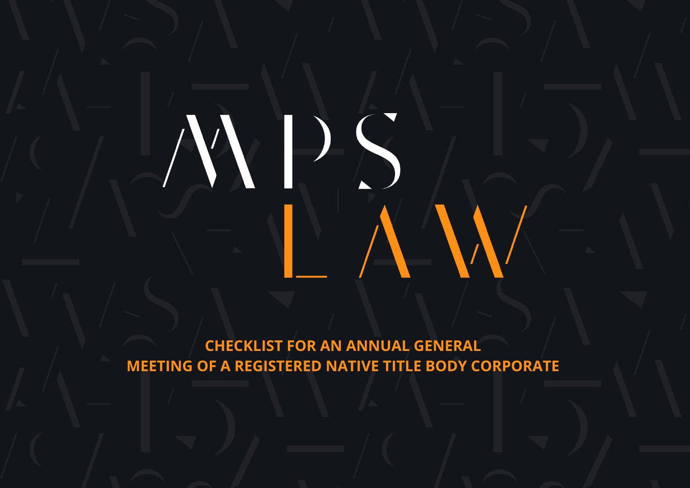**CHECKLIST FOR AN ANNUAL GENERAL MEETING OF A REGISTERED NATIVE TITLE BODY CORPORATE**

 $\Delta N$ 

WDS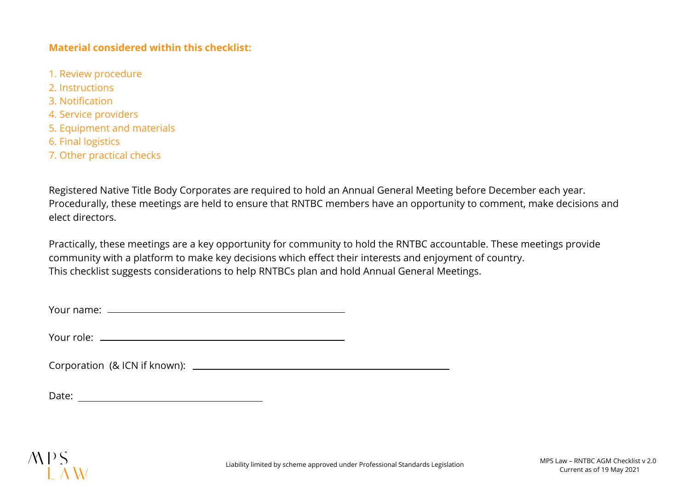## **Material considered within this checklist:**

- 1. Review procedure
- 2. Instructions
- 3. Notification
- 4. Service providers
- 5. Equipment and materials
- 6. Final logistics
- 7. Other practical checks

Registered Native Title Body Corporates are required to hold an Annual General Meeting before December each year. Procedurally, these meetings are held to ensure that RNTBC members have an opportunity to comment, make decisions and elect directors.

Practically, these meetings are a key opportunity for community to hold the RNTBC accountable. These meetings provide community with a platform to make key decisions which effect their interests and enjoyment of country. This checklist suggests considerations to help RNTBCs plan and hold Annual General Meetings.

Your name:

Your role:

Corporation (& ICN if known):

Date: <u>with the contract of the contract of the contract of the contract of the contract of the contract of the contract of the contract of the contract of the contract of the contract of the contract of the contract of th</u>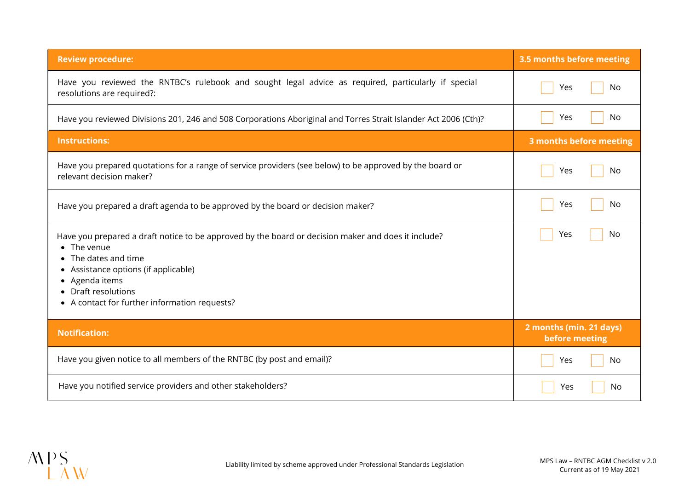| <b>Review procedure:</b>                                                                                                                                                                                                                                                                         | 3.5 months before meeting                 |
|--------------------------------------------------------------------------------------------------------------------------------------------------------------------------------------------------------------------------------------------------------------------------------------------------|-------------------------------------------|
| Have you reviewed the RNTBC's rulebook and sought legal advice as required, particularly if special<br>resolutions are required?:                                                                                                                                                                | No<br>Yes                                 |
| Have you reviewed Divisions 201, 246 and 508 Corporations Aboriginal and Torres Strait Islander Act 2006 (Cth)?                                                                                                                                                                                  | No<br>Yes                                 |
| <b>Instructions:</b>                                                                                                                                                                                                                                                                             | 3 months before meeting                   |
| Have you prepared quotations for a range of service providers (see below) to be approved by the board or<br>relevant decision maker?                                                                                                                                                             | No<br>Yes                                 |
| Have you prepared a draft agenda to be approved by the board or decision maker?                                                                                                                                                                                                                  | No<br>Yes                                 |
| Have you prepared a draft notice to be approved by the board or decision maker and does it include?<br>The venue<br>• The dates and time<br>Assistance options (if applicable)<br>$\bullet$<br>Agenda items<br>$\bullet$<br>• Draft resolutions<br>• A contact for further information requests? | No<br>Yes                                 |
| <b>Notification:</b>                                                                                                                                                                                                                                                                             | 2 months (min. 21 days)<br>before meeting |
| Have you given notice to all members of the RNTBC (by post and email)?                                                                                                                                                                                                                           | Yes<br>No                                 |
| Have you notified service providers and other stakeholders?                                                                                                                                                                                                                                      | No<br>Yes                                 |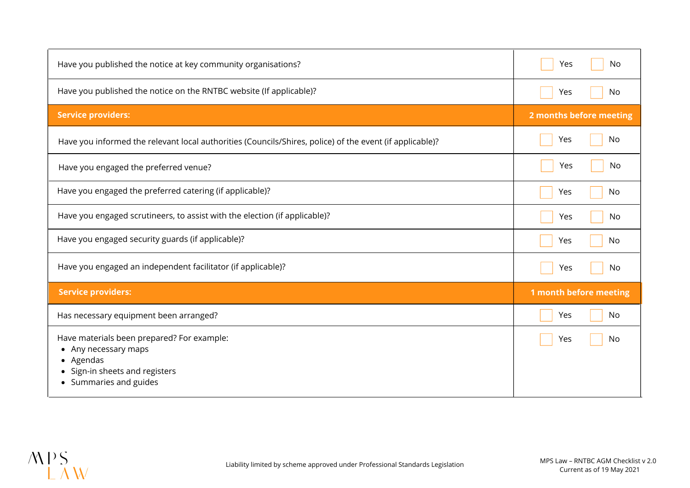| Have you published the notice at key community organisations?                                                                                                        | No<br>Yes               |
|----------------------------------------------------------------------------------------------------------------------------------------------------------------------|-------------------------|
| Have you published the notice on the RNTBC website (If applicable)?                                                                                                  | No<br>Yes               |
| <b>Service providers:</b>                                                                                                                                            | 2 months before meeting |
| Have you informed the relevant local authorities (Councils/Shires, police) of the event (if applicable)?                                                             | Yes<br>No               |
| Have you engaged the preferred venue?                                                                                                                                | Yes<br>No.              |
| Have you engaged the preferred catering (if applicable)?                                                                                                             | Yes<br>No               |
| Have you engaged scrutineers, to assist with the election (if applicable)?                                                                                           | No.<br>Yes              |
| Have you engaged security guards (if applicable)?                                                                                                                    | No<br>Yes               |
| Have you engaged an independent facilitator (if applicable)?                                                                                                         | No<br>Yes               |
| <b>Service providers:</b>                                                                                                                                            | 1 month before meeting  |
| Has necessary equipment been arranged?                                                                                                                               | No<br>Yes               |
| Have materials been prepared? For example:<br>Any necessary maps<br>٠<br>• Agendas<br>Sign-in sheets and registers<br>$\bullet$<br>Summaries and guides<br>$\bullet$ | No<br>Yes               |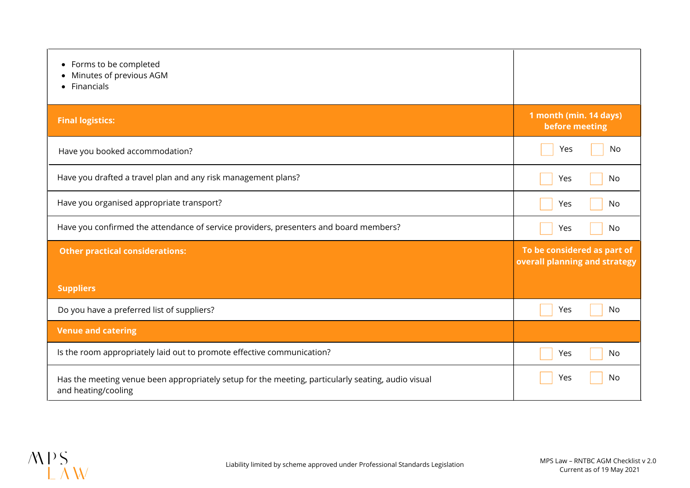| Forms to be completed<br>$\bullet$<br>Minutes of previous AGM<br>Financials<br>$\bullet$                                  |                                                              |
|---------------------------------------------------------------------------------------------------------------------------|--------------------------------------------------------------|
| <b>Final logistics:</b>                                                                                                   | 1 month (min. 14 days)<br>before meeting                     |
| Have you booked accommodation?                                                                                            | No<br>Yes                                                    |
| Have you drafted a travel plan and any risk management plans?                                                             | Yes<br>No                                                    |
| Have you organised appropriate transport?                                                                                 | No<br>Yes                                                    |
| Have you confirmed the attendance of service providers, presenters and board members?                                     | No<br>Yes                                                    |
| <b>Other practical considerations:</b>                                                                                    | To be considered as part of<br>overall planning and strategy |
| <b>Suppliers</b>                                                                                                          |                                                              |
| Do you have a preferred list of suppliers?                                                                                | Yes<br>No                                                    |
| <b>Venue and catering</b>                                                                                                 |                                                              |
| Is the room appropriately laid out to promote effective communication?                                                    | No<br>Yes                                                    |
| Has the meeting venue been appropriately setup for the meeting, particularly seating, audio visual<br>and heating/cooling | No<br>Yes                                                    |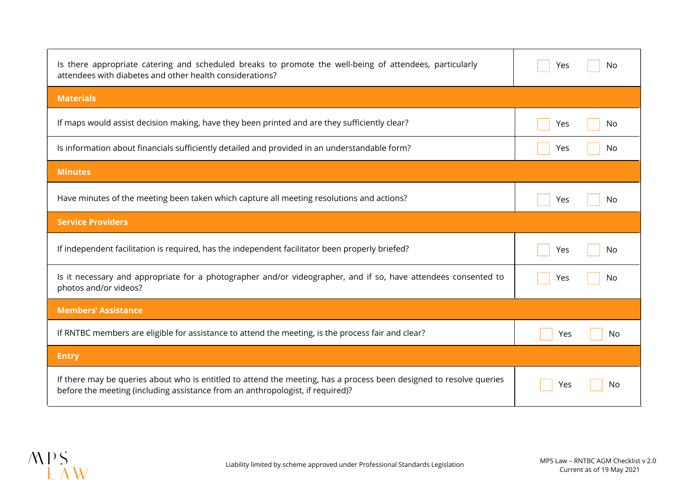| Is there appropriate catering and scheduled breaks to promote the well-being of attendees, particularly<br>attendees with diabetes and other health considerations?                                   | Yes<br>No        |
|-------------------------------------------------------------------------------------------------------------------------------------------------------------------------------------------------------|------------------|
| <b>Materials</b>                                                                                                                                                                                      |                  |
| If maps would assist decision making, have they been printed and are they sufficiently clear?                                                                                                         | Yes<br>No        |
| Is information about financials sufficiently detailed and provided in an understandable form?                                                                                                         | Yes<br>No        |
| <b>Minutes</b>                                                                                                                                                                                        |                  |
| Have minutes of the meeting been taken which capture all meeting resolutions and actions?                                                                                                             | Yes<br>No        |
| <b>Service Providers</b>                                                                                                                                                                              |                  |
| If independent facilitation is required, has the independent facilitator been properly briefed?                                                                                                       | Yes<br>No        |
| Is it necessary and appropriate for a photographer and/or videographer, and if so, have attendees consented to<br>photos and/or videos?                                                               | Yes<br>No        |
| <b>Members' Assistance</b>                                                                                                                                                                            |                  |
| If RNTBC members are eligible for assistance to attend the meeting, is the process fair and clear?                                                                                                    | <b>No</b><br>Yes |
| <b>Entry</b>                                                                                                                                                                                          |                  |
| If there may be queries about who is entitled to attend the meeting, has a process been designed to resolve queries<br>before the meeting (including assistance from an anthropologist, if required)? | No<br>Yes        |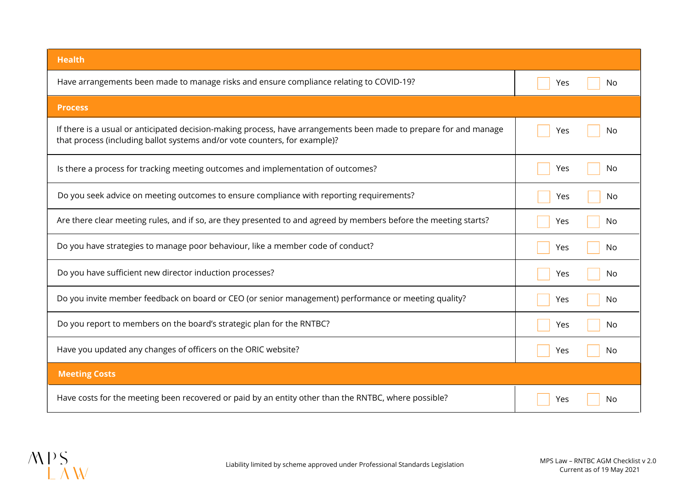| <b>Health</b>                                                                                                                                                                                   |            |
|-------------------------------------------------------------------------------------------------------------------------------------------------------------------------------------------------|------------|
| Have arrangements been made to manage risks and ensure compliance relating to COVID-19?                                                                                                         | Yes<br>No. |
| <b>Process</b>                                                                                                                                                                                  |            |
| If there is a usual or anticipated decision-making process, have arrangements been made to prepare for and manage<br>that process (including ballot systems and/or vote counters, for example)? | Yes<br>No  |
| Is there a process for tracking meeting outcomes and implementation of outcomes?                                                                                                                | Yes<br>No  |
| Do you seek advice on meeting outcomes to ensure compliance with reporting requirements?                                                                                                        | Yes<br>No. |
| Are there clear meeting rules, and if so, are they presented to and agreed by members before the meeting starts?                                                                                | Yes<br>No  |
| Do you have strategies to manage poor behaviour, like a member code of conduct?                                                                                                                 | Yes<br>No  |
| Do you have sufficient new director induction processes?                                                                                                                                        | Yes<br>No  |
| Do you invite member feedback on board or CEO (or senior management) performance or meeting quality?                                                                                            | Yes<br>No  |
| Do you report to members on the board's strategic plan for the RNTBC?                                                                                                                           | Yes<br>No. |
| Have you updated any changes of officers on the ORIC website?                                                                                                                                   | Yes<br>No  |
| <b>Meeting Costs</b>                                                                                                                                                                            |            |
| Have costs for the meeting been recovered or paid by an entity other than the RNTBC, where possible?                                                                                            | Yes<br>No  |